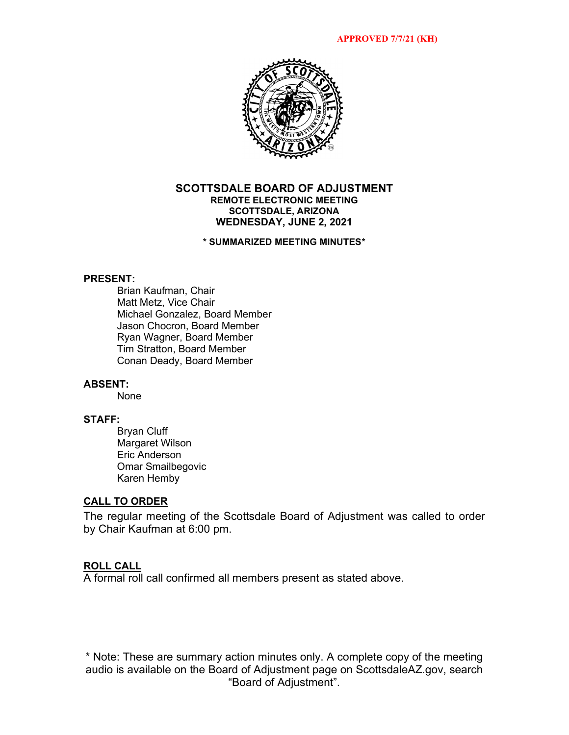

#### **SCOTTSDALE BOARD OF ADJUSTMENT REMOTE ELECTRONIC MEETING SCOTTSDALE, ARIZONA WEDNESDAY, JUNE 2, 2021**

## **\* SUMMARIZED MEETING MINUTES\***

#### **PRESENT:**

Brian Kaufman, Chair Matt Metz, Vice Chair Michael Gonzalez, Board Member Jason Chocron, Board Member Ryan Wagner, Board Member Tim Stratton, Board Member Conan Deady, Board Member

#### **ABSENT:**

None

# **STAFF:**

Bryan Cluff Margaret Wilson Eric Anderson Omar Smailbegovic Karen Hemby

## **CALL TO ORDER**

The regular meeting of the Scottsdale Board of Adjustment was called to order by Chair Kaufman at 6:00 pm.

## **ROLL CALL**

A formal roll call confirmed all members present as stated above.

\* Note: These are summary action minutes only. A complete copy of the meeting audio is available on the Board of Adjustment page on ScottsdaleAZ.gov, search "Board of Adjustment".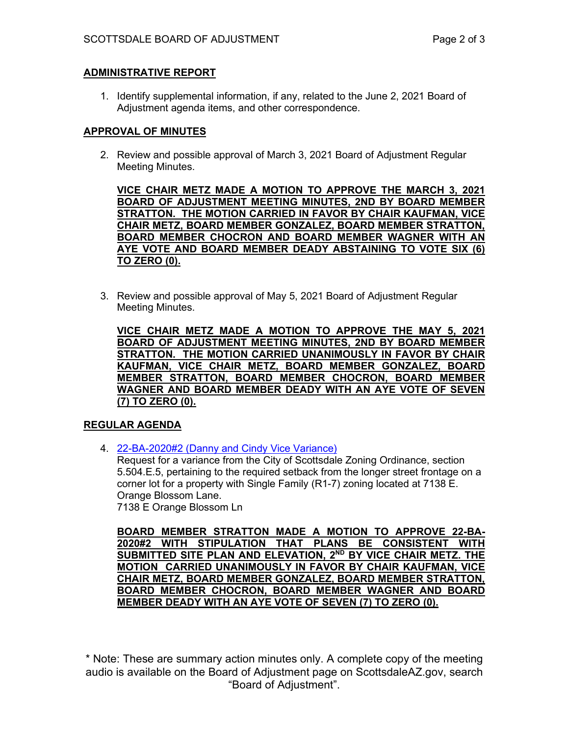# **ADMINISTRATIVE REPORT**

1. Identify supplemental information, if any, related to the June 2, 2021 Board of Adjustment agenda items, and other correspondence.

# **APPROVAL OF MINUTES**

2. Review and possible approval of March 3, 2021 Board of Adjustment Regular Meeting Minutes.

**VICE CHAIR METZ MADE A MOTION TO APPROVE THE MARCH 3, 2021 BOARD OF ADJUSTMENT MEETING MINUTES, 2ND BY BOARD MEMBER STRATTON. THE MOTION CARRIED IN FAVOR BY CHAIR KAUFMAN, VICE CHAIR METZ, BOARD MEMBER GONZALEZ, BOARD MEMBER STRATTON, BOARD MEMBER CHOCRON AND BOARD MEMBER WAGNER WITH AN AYE VOTE AND BOARD MEMBER DEADY ABSTAINING TO VOTE SIX (6) TO ZERO (0).** 

3. Review and possible approval of May 5, 2021 Board of Adjustment Regular Meeting Minutes.

**VICE CHAIR METZ MADE A MOTION TO APPROVE THE MAY 5, 2021 BOARD OF ADJUSTMENT MEETING MINUTES, 2ND BY BOARD MEMBER STRATTON. THE MOTION CARRIED UNANIMOUSLY IN FAVOR BY CHAIR KAUFMAN, VICE CHAIR METZ, BOARD MEMBER GONZALEZ, BOARD MEMBER STRATTON, BOARD MEMBER CHOCRON, BOARD MEMBER WAGNER AND BOARD MEMBER DEADY WITH AN AYE VOTE OF SEVEN (7) TO ZERO (0).** 

# **REGULAR AGENDA**

4. [22-BA-2020#2 \(Danny and Cindy Vice Variance\)](https://eservices.scottsdaleaz.gov/planning/projectsummary/ba_reports/BA_22_BA_2020_2.pdf)

Request for a variance from the City of Scottsdale Zoning Ordinance, section 5.504.E.5, pertaining to the required setback from the longer street frontage on a corner lot for a property with Single Family (R1-7) zoning located at 7138 E. Orange Blossom Lane. 7138 E Orange Blossom Ln

**BOARD MEMBER STRATTON MADE A MOTION TO APPROVE 22-BA-2020#2 WITH STIPULATION THAT PLANS BE CONSISTENT WITH SUBMITTED SITE PLAN AND ELEVATION, 2ND BY VICE CHAIR METZ. THE MOTION CARRIED UNANIMOUSLY IN FAVOR BY CHAIR KAUFMAN, VICE CHAIR METZ, BOARD MEMBER GONZALEZ, BOARD MEMBER STRATTON, BOARD MEMBER CHOCRON, BOARD MEMBER WAGNER AND BOARD MEMBER DEADY WITH AN AYE VOTE OF SEVEN (7) TO ZERO (0).** 

\* Note: These are summary action minutes only. A complete copy of the meeting audio is available on the Board of Adjustment page on ScottsdaleAZ.gov, search "Board of Adjustment".